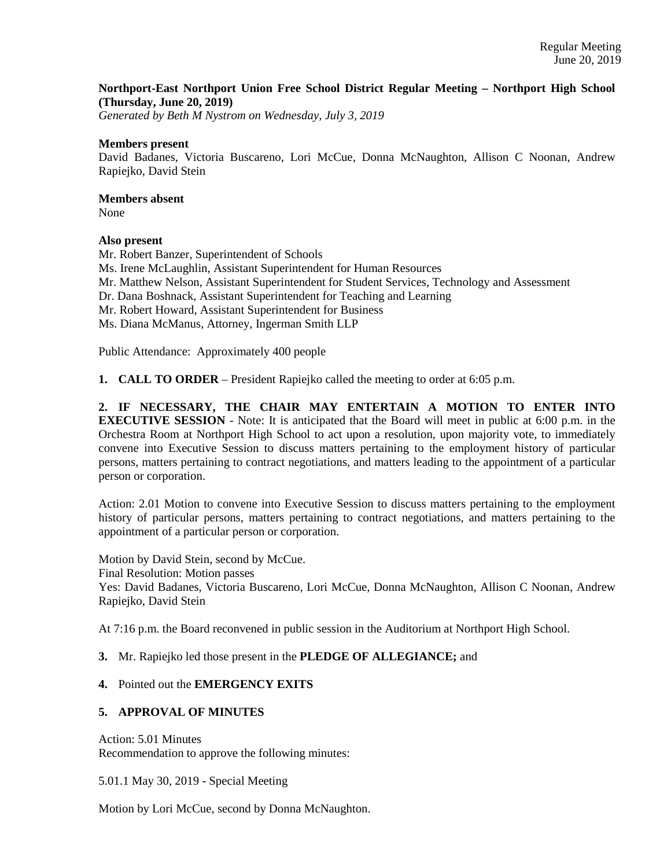## **Northport-East Northport Union Free School District Regular Meeting – Northport High School (Thursday, June 20, 2019)**

*Generated by Beth M Nystrom on Wednesday, July 3, 2019*

### **Members present**

David Badanes, Victoria Buscareno, Lori McCue, Donna McNaughton, Allison C Noonan, Andrew Rapiejko, David Stein

## **Members absent**

None

## **Also present**

Mr. Robert Banzer, Superintendent of Schools Ms. Irene McLaughlin, Assistant Superintendent for Human Resources Mr. Matthew Nelson, Assistant Superintendent for Student Services, Technology and Assessment Dr. Dana Boshnack, Assistant Superintendent for Teaching and Learning Mr. Robert Howard, Assistant Superintendent for Business Ms. Diana McManus, Attorney, Ingerman Smith LLP Public Attendance: Approximately 400 people

**1. CALL TO ORDER** – President Rapiejko called the meeting to order at 6:05 p.m.

**2. IF NECESSARY, THE CHAIR MAY ENTERTAIN A MOTION TO ENTER INTO EXECUTIVE SESSION** - Note: It is anticipated that the Board will meet in public at 6:00 p.m. in the Orchestra Room at Northport High School to act upon a resolution, upon majority vote, to immediately convene into Executive Session to discuss matters pertaining to the employment history of particular persons, matters pertaining to contract negotiations, and matters leading to the appointment of a particular person or corporation.

Action: 2.01 Motion to convene into Executive Session to discuss matters pertaining to the employment history of particular persons, matters pertaining to contract negotiations, and matters pertaining to the appointment of a particular person or corporation.

Motion by David Stein, second by McCue. Final Resolution: Motion passes Yes: David Badanes, Victoria Buscareno, Lori McCue, Donna McNaughton, Allison C Noonan, Andrew Rapiejko, David Stein

At 7:16 p.m. the Board reconvened in public session in the Auditorium at Northport High School.

**3.** Mr. Rapiejko led those present in the **PLEDGE OF ALLEGIANCE;** and

# **4.** Pointed out the **EMERGENCY EXITS**

## **5. APPROVAL OF MINUTES**

Action: 5.01 Minutes Recommendation to approve the following minutes:

5.01.1 May 30, 2019 - Special Meeting

Motion by Lori McCue, second by Donna McNaughton.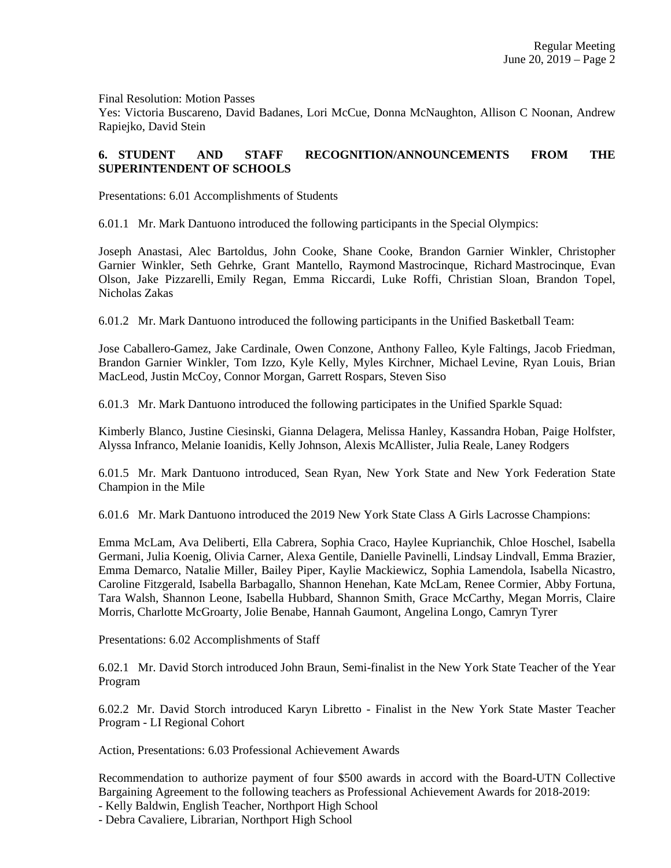Final Resolution: Motion Passes

Yes: Victoria Buscareno, David Badanes, Lori McCue, Donna McNaughton, Allison C Noonan, Andrew Rapiejko, David Stein

# **6. STUDENT AND STAFF RECOGNITION/ANNOUNCEMENTS FROM THE SUPERINTENDENT OF SCHOOLS**

Presentations: 6.01 Accomplishments of Students

6.01.1 Mr. Mark Dantuono introduced the following participants in the Special Olympics:

Joseph Anastasi, Alec Bartoldus, John Cooke, Shane Cooke, Brandon Garnier Winkler, Christopher Garnier Winkler, Seth Gehrke, Grant Mantello, Raymond Mastrocinque, Richard Mastrocinque, Evan Olson, Jake Pizzarelli, Emily Regan, Emma Riccardi, Luke Roffi, Christian Sloan, Brandon Topel, Nicholas Zakas

6.01.2 Mr. Mark Dantuono introduced the following participants in the Unified Basketball Team:

Jose Caballero-Gamez, Jake Cardinale, Owen Conzone, Anthony Falleo, Kyle Faltings, Jacob Friedman, Brandon Garnier Winkler, Tom Izzo, Kyle Kelly, Myles Kirchner, Michael Levine, Ryan Louis, Brian MacLeod, Justin McCoy, Connor Morgan, Garrett Rospars, Steven Siso

6.01.3 Mr. Mark Dantuono introduced the following participates in the Unified Sparkle Squad:

Kimberly Blanco, Justine Ciesinski, Gianna Delagera, Melissa Hanley, Kassandra Hoban, Paige Holfster, Alyssa Infranco, Melanie Ioanidis, Kelly Johnson, Alexis McAllister, Julia Reale, Laney Rodgers

6.01.5 Mr. Mark Dantuono introduced, Sean Ryan, New York State and New York Federation State Champion in the Mile

6.01.6 Mr. Mark Dantuono introduced the 2019 New York State Class A Girls Lacrosse Champions:

Emma McLam, Ava Deliberti, Ella Cabrera, Sophia Craco, Haylee Kuprianchik, Chloe Hoschel, Isabella Germani, Julia Koenig, Olivia Carner, Alexa Gentile, Danielle Pavinelli, Lindsay Lindvall, Emma Brazier, Emma Demarco, Natalie Miller, Bailey Piper, Kaylie Mackiewicz, Sophia Lamendola, Isabella Nicastro, Caroline Fitzgerald, Isabella Barbagallo, Shannon Henehan, Kate McLam, Renee Cormier, Abby Fortuna, Tara Walsh, Shannon Leone, Isabella Hubbard, Shannon Smith, Grace McCarthy, Megan Morris, Claire Morris, Charlotte McGroarty, Jolie Benabe, Hannah Gaumont, Angelina Longo, Camryn Tyrer

Presentations: 6.02 Accomplishments of Staff

6.02.1 Mr. David Storch introduced John Braun, Semi-finalist in the New York State Teacher of the Year Program

6.02.2 Mr. David Storch introduced Karyn Libretto - Finalist in the New York State Master Teacher Program - LI Regional Cohort

Action, Presentations: 6.03 Professional Achievement Awards

Recommendation to authorize payment of four \$500 awards in accord with the Board-UTN Collective Bargaining Agreement to the following teachers as Professional Achievement Awards for 2018-2019:

- Kelly Baldwin, English Teacher, Northport High School

- Debra Cavaliere, Librarian, Northport High School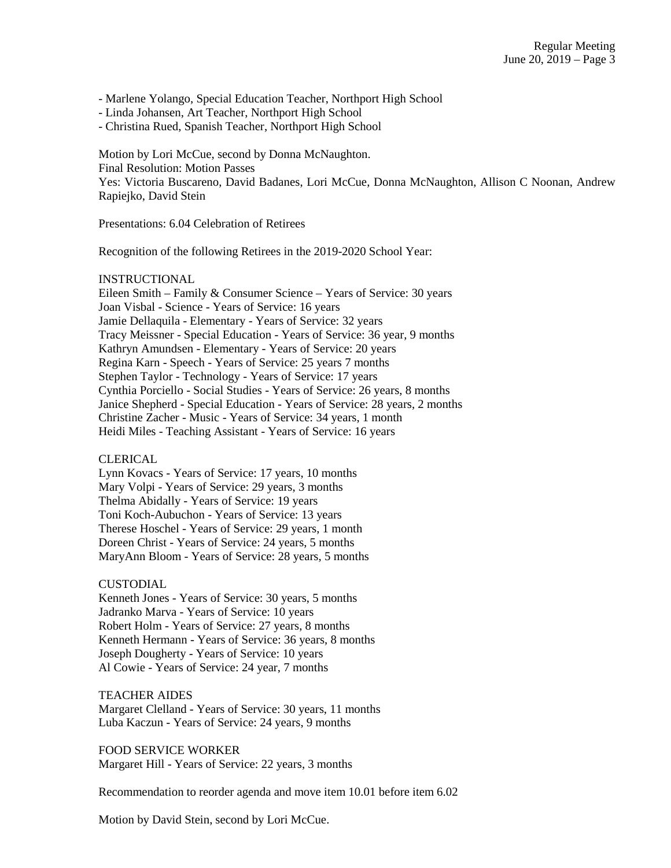- Marlene Yolango, Special Education Teacher, Northport High School

- Linda Johansen, Art Teacher, Northport High School

- Christina Rued, Spanish Teacher, Northport High School

Motion by Lori McCue, second by Donna McNaughton. Final Resolution: Motion Passes Yes: Victoria Buscareno, David Badanes, Lori McCue, Donna McNaughton, Allison C Noonan, Andrew Rapiejko, David Stein

Presentations: 6.04 Celebration of Retirees

Recognition of the following Retirees in the 2019-2020 School Year:

#### INSTRUCTIONAL

Eileen Smith – Family & Consumer Science – Years of Service: 30 years Joan Visbal - Science - Years of Service: 16 years Jamie Dellaquila - Elementary - Years of Service: 32 years Tracy Meissner - Special Education - Years of Service: 36 year, 9 months Kathryn Amundsen - Elementary - Years of Service: 20 years Regina Karn - Speech - Years of Service: 25 years 7 months Stephen Taylor - Technology - Years of Service: 17 years Cynthia Porciello - Social Studies - Years of Service: 26 years, 8 months Janice Shepherd - Special Education - Years of Service: 28 years, 2 months Christine Zacher - Music - Years of Service: 34 years, 1 month Heidi Miles - Teaching Assistant - Years of Service: 16 years

### CLERICAL

Lynn Kovacs - Years of Service: 17 years, 10 months Mary Volpi - Years of Service: 29 years, 3 months Thelma Abidally - Years of Service: 19 years Toni Koch-Aubuchon - Years of Service: 13 years Therese Hoschel - Years of Service: 29 years, 1 month Doreen Christ - Years of Service: 24 years, 5 months MaryAnn Bloom - Years of Service: 28 years, 5 months

#### CUSTODIAL

Kenneth Jones - Years of Service: 30 years, 5 months Jadranko Marva - Years of Service: 10 years Robert Holm - Years of Service: 27 years, 8 months Kenneth Hermann - Years of Service: 36 years, 8 months Joseph Dougherty - Years of Service: 10 years Al Cowie - Years of Service: 24 year, 7 months

#### TEACHER AIDES

Margaret Clelland - Years of Service: 30 years, 11 months Luba Kaczun - Years of Service: 24 years, 9 months

FOOD SERVICE WORKER Margaret Hill - Years of Service: 22 years, 3 months

Recommendation to reorder agenda and move item 10.01 before item 6.02

Motion by David Stein, second by Lori McCue.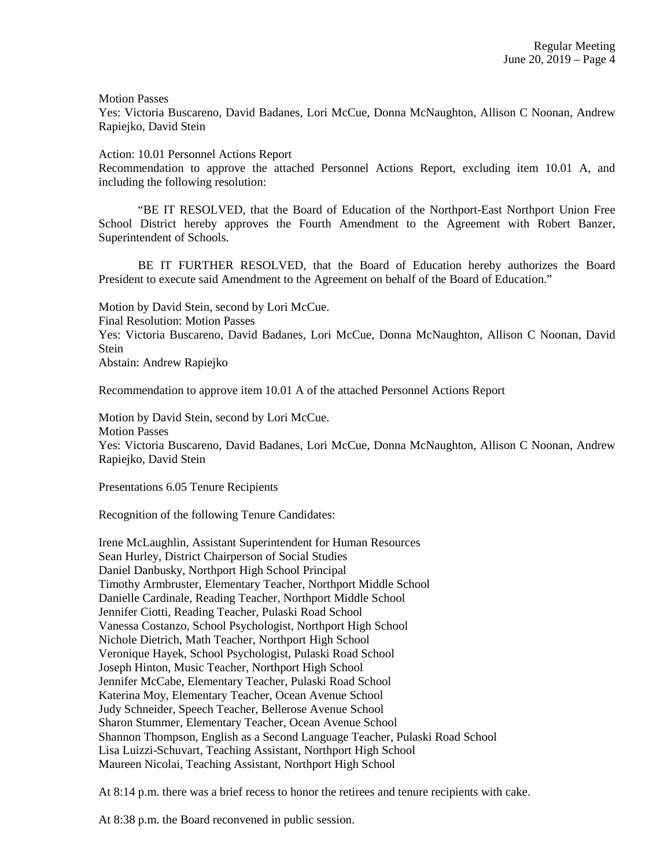Motion Passes

Yes: Victoria Buscareno, David Badanes, Lori McCue, Donna McNaughton, Allison C Noonan, Andrew Rapiejko, David Stein

Action: 10.01 Personnel Actions Report

Recommendation to approve the attached Personnel Actions Report, excluding item 10.01 A, and including the following resolution:

"BE IT RESOLVED, that the Board of Education of the Northport-East Northport Union Free School District hereby approves the Fourth Amendment to the Agreement with Robert Banzer, Superintendent of Schools.

BE IT FURTHER RESOLVED, that the Board of Education hereby authorizes the Board President to execute said Amendment to the Agreement on behalf of the Board of Education."

Motion by David Stein, second by Lori McCue. Final Resolution: Motion Passes Yes: Victoria Buscareno, David Badanes, Lori McCue, Donna McNaughton, Allison C Noonan, David Stein Abstain: Andrew Rapiejko

Recommendation to approve item 10.01 A of the attached Personnel Actions Report

Motion by David Stein, second by Lori McCue. Motion Passes Yes: Victoria Buscareno, David Badanes, Lori McCue, Donna McNaughton, Allison C Noonan, Andrew Rapiejko, David Stein

Presentations 6.05 Tenure Recipients

Recognition of the following Tenure Candidates:

Irene McLaughlin, Assistant Superintendent for Human Resources Sean Hurley, District Chairperson of Social Studies Daniel Danbusky, Northport High School Principal Timothy Armbruster, Elementary Teacher, Northport Middle School Danielle Cardinale, Reading Teacher, Northport Middle School Jennifer Ciotti, Reading Teacher, Pulaski Road School Vanessa Costanzo, School Psychologist, Northport High School Nichole Dietrich, Math Teacher, Northport High School Veronique Hayek, School Psychologist, Pulaski Road School Joseph Hinton, Music Teacher, Northport High School Jennifer McCabe, Elementary Teacher, Pulaski Road School Katerina Moy, Elementary Teacher, Ocean Avenue School Judy Schneider, Speech Teacher, Bellerose Avenue School Sharon Stummer, Elementary Teacher, Ocean Avenue School Shannon Thompson, English as a Second Language Teacher, Pulaski Road School Lisa Luizzi-Schuvart, Teaching Assistant, Northport High School Maureen Nicolai, Teaching Assistant, Northport High School

At 8:14 p.m. there was a brief recess to honor the retirees and tenure recipients with cake.

At 8:38 p.m. the Board reconvened in public session.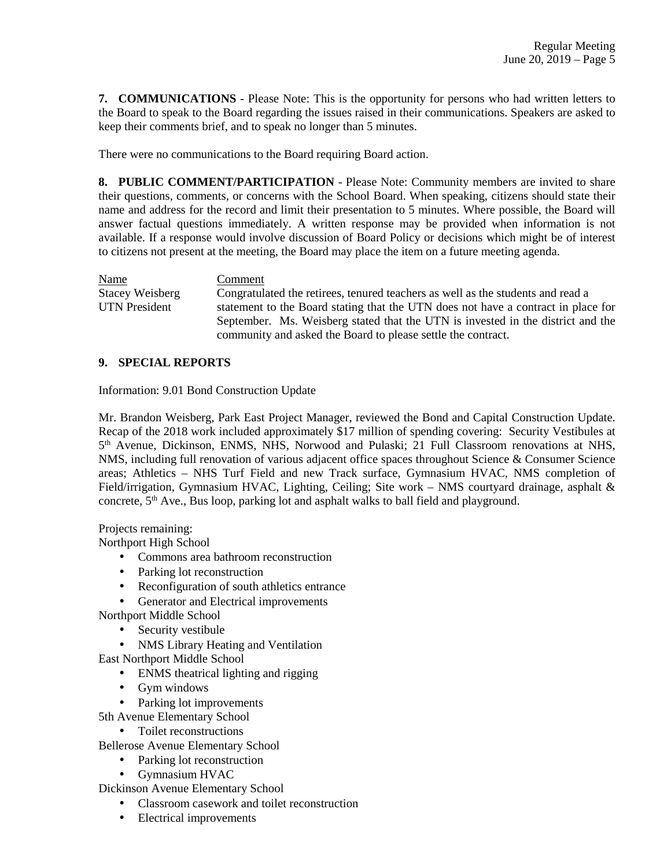**7. COMMUNICATIONS** - Please Note: This is the opportunity for persons who had written letters to the Board to speak to the Board regarding the issues raised in their communications. Speakers are asked to keep their comments brief, and to speak no longer than 5 minutes.

There were no communications to the Board requiring Board action.

**8. PUBLIC COMMENT/PARTICIPATION** - Please Note: Community members are invited to share their questions, comments, or concerns with the School Board. When speaking, citizens should state their name and address for the record and limit their presentation to 5 minutes. Where possible, the Board will answer factual questions immediately. A written response may be provided when information is not available. If a response would involve discussion of Board Policy or decisions which might be of interest to citizens not present at the meeting, the Board may place the item on a future meeting agenda.

Name Comment

Stacey Weisberg Congratulated the retirees, tenured teachers as well as the students and read a UTN President statement to the Board stating that the UTN does not have a contract in place for September. Ms. Weisberg stated that the UTN is invested in the district and the community and asked the Board to please settle the contract.

## **9. SPECIAL REPORTS**

Information: 9.01 Bond Construction Update

Mr. Brandon Weisberg, Park East Project Manager, reviewed the Bond and Capital Construction Update. Recap of the 2018 work included approximately \$17 million of spending covering: Security Vestibules at 5<sup>th</sup> Avenue, Dickinson, ENMS, NHS, Norwood and Pulaski; 21 Full Classroom renovations at NHS, NMS, including full renovation of various adjacent office spaces throughout Science & Consumer Science areas; Athletics – NHS Turf Field and new Track surface, Gymnasium HVAC, NMS completion of Field/irrigation, Gymnasium HVAC, Lighting, Ceiling; Site work – NMS courtyard drainage, asphalt & concrete, 5<sup>th</sup> Ave., Bus loop, parking lot and asphalt walks to ball field and playground.

Projects remaining:

Northport High School

- Commons area bathroom reconstruction
- Parking lot reconstruction
- Reconfiguration of south athletics entrance
- Generator and Electrical improvements
- Northport Middle School
	- Security vestibule
	- NMS Library Heating and Ventilation

East Northport Middle School

- ENMS theatrical lighting and rigging
- Gym windows
- Parking lot improvements
- 5th Avenue Elementary School
	- Toilet reconstructions

Bellerose Avenue Elementary School

- Parking lot reconstruction
- Gymnasium HVAC

Dickinson Avenue Elementary School

- Classroom casework and toilet reconstruction
- Electrical improvements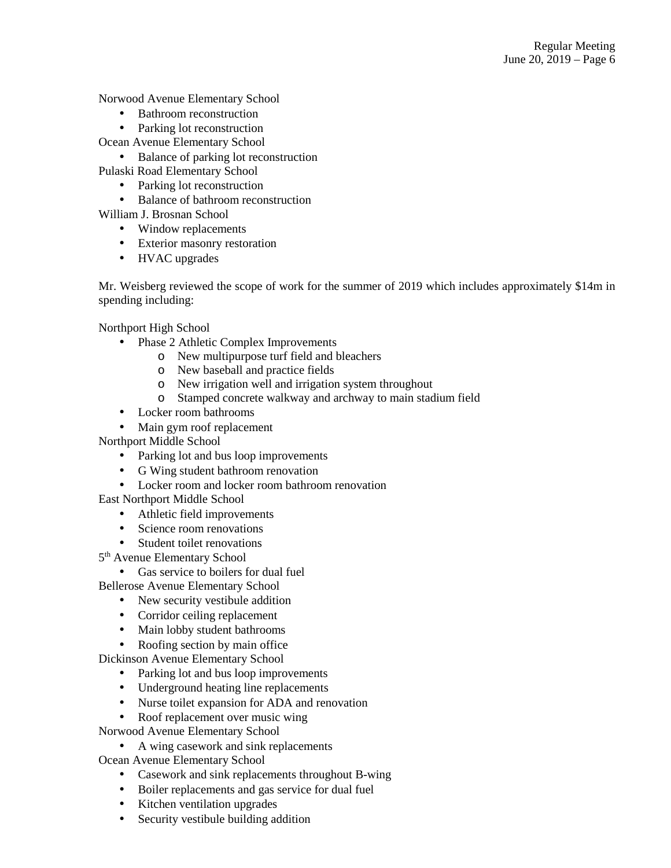Norwood Avenue Elementary School

- Bathroom reconstruction
- Parking lot reconstruction

Ocean Avenue Elementary School

• Balance of parking lot reconstruction

Pulaski Road Elementary School

- Parking lot reconstruction
- Balance of bathroom reconstruction

William J. Brosnan School

- Window replacements
- Exterior masonry restoration
- HVAC upgrades

Mr. Weisberg reviewed the scope of work for the summer of 2019 which includes approximately \$14m in spending including:

Northport High School

- Phase 2 Athletic Complex Improvements
	- o New multipurpose turf field and bleachers
	- o New baseball and practice fields
	- o New irrigation well and irrigation system throughout
	- o Stamped concrete walkway and archway to main stadium field
- Locker room bathrooms
- Main gym roof replacement

Northport Middle School

- Parking lot and bus loop improvements
- G Wing student bathroom renovation
- Locker room and locker room bathroom renovation

East Northport Middle School

- Athletic field improvements
- Science room renovations
- Student toilet renovations

5<sup>th</sup> Avenue Elementary School

• Gas service to boilers for dual fuel

Bellerose Avenue Elementary School

- New security vestibule addition
- Corridor ceiling replacement
- Main lobby student bathrooms
- Roofing section by main office

Dickinson Avenue Elementary School

- Parking lot and bus loop improvements
- Underground heating line replacements
- Nurse toilet expansion for ADA and renovation
- Roof replacement over music wing

Norwood Avenue Elementary School

• A wing casework and sink replacements

Ocean Avenue Elementary School

- Casework and sink replacements throughout B-wing
- Boiler replacements and gas service for dual fuel
- Kitchen ventilation upgrades
- Security vestibule building addition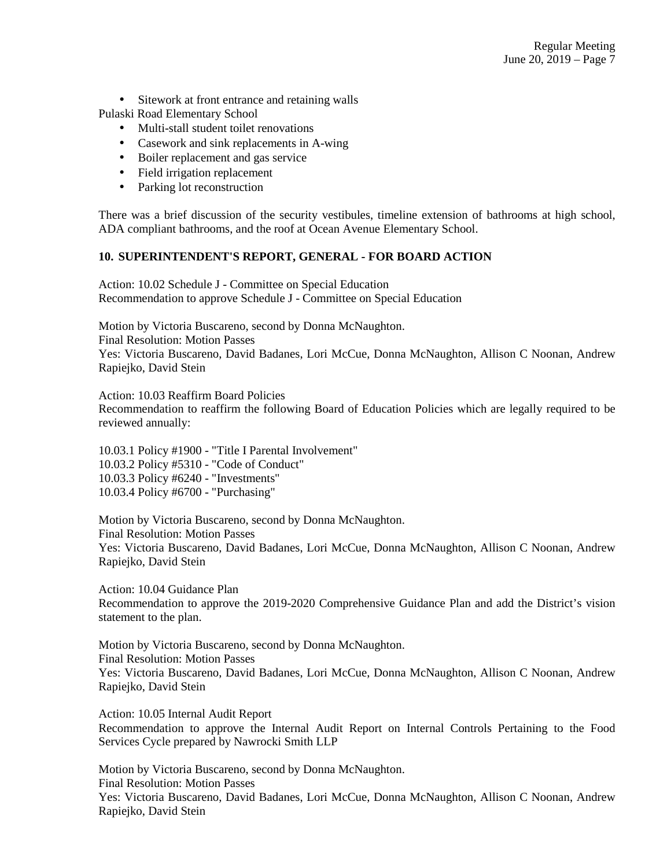• Sitework at front entrance and retaining walls

Pulaski Road Elementary School

- Multi-stall student toilet renovations
- Casework and sink replacements in A-wing
- Boiler replacement and gas service
- Field irrigation replacement
- Parking lot reconstruction

There was a brief discussion of the security vestibules, timeline extension of bathrooms at high school, ADA compliant bathrooms, and the roof at Ocean Avenue Elementary School.

## **10. SUPERINTENDENT'S REPORT, GENERAL - FOR BOARD ACTION**

Action: 10.02 Schedule J - Committee on Special Education Recommendation to approve Schedule J - Committee on Special Education

Motion by Victoria Buscareno, second by Donna McNaughton. Final Resolution: Motion Passes Yes: Victoria Buscareno, David Badanes, Lori McCue, Donna McNaughton, Allison C Noonan, Andrew Rapiejko, David Stein

Action: 10.03 Reaffirm Board Policies Recommendation to reaffirm the following Board of Education Policies which are legally required to be reviewed annually:

10.03.1 Policy #1900 - "Title I Parental Involvement" 10.03.2 Policy #5310 - "Code of Conduct" 10.03.3 Policy #6240 - "Investments" 10.03.4 Policy #6700 - "Purchasing"

Motion by Victoria Buscareno, second by Donna McNaughton. Final Resolution: Motion Passes Yes: Victoria Buscareno, David Badanes, Lori McCue, Donna McNaughton, Allison C Noonan, Andrew Rapiejko, David Stein

Action: 10.04 Guidance Plan Recommendation to approve the 2019-2020 Comprehensive Guidance Plan and add the District's vision statement to the plan.

Motion by Victoria Buscareno, second by Donna McNaughton. Final Resolution: Motion Passes Yes: Victoria Buscareno, David Badanes, Lori McCue, Donna McNaughton, Allison C Noonan, Andrew Rapiejko, David Stein

Action: 10.05 Internal Audit Report Recommendation to approve the Internal Audit Report on Internal Controls Pertaining to the Food Services Cycle prepared by Nawrocki Smith LLP

Motion by Victoria Buscareno, second by Donna McNaughton. Final Resolution: Motion Passes Yes: Victoria Buscareno, David Badanes, Lori McCue, Donna McNaughton, Allison C Noonan, Andrew Rapiejko, David Stein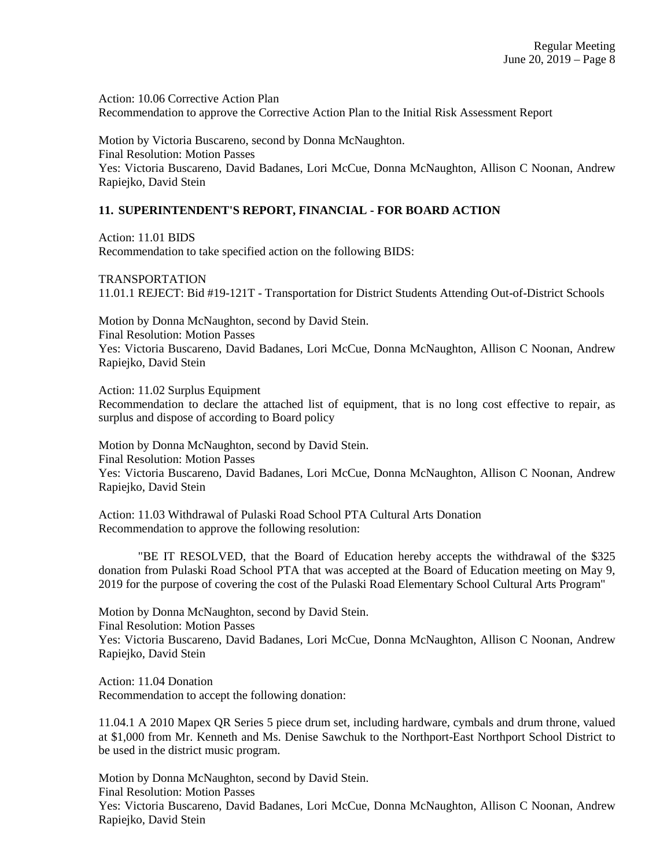Action: 10.06 Corrective Action Plan Recommendation to approve the Corrective Action Plan to the Initial Risk Assessment Report

Motion by Victoria Buscareno, second by Donna McNaughton. Final Resolution: Motion Passes Yes: Victoria Buscareno, David Badanes, Lori McCue, Donna McNaughton, Allison C Noonan, Andrew Rapiejko, David Stein

### **11. SUPERINTENDENT'S REPORT, FINANCIAL - FOR BOARD ACTION**

Action: 11.01 BIDS Recommendation to take specified action on the following BIDS:

TRANSPORTATION 11.01.1 REJECT: Bid #19-121T - Transportation for District Students Attending Out-of-District Schools

Motion by Donna McNaughton, second by David Stein. Final Resolution: Motion Passes Yes: Victoria Buscareno, David Badanes, Lori McCue, Donna McNaughton, Allison C Noonan, Andrew Rapiejko, David Stein

Action: 11.02 Surplus Equipment

Recommendation to declare the attached list of equipment, that is no long cost effective to repair, as surplus and dispose of according to Board policy

Motion by Donna McNaughton, second by David Stein. Final Resolution: Motion Passes Yes: Victoria Buscareno, David Badanes, Lori McCue, Donna McNaughton, Allison C Noonan, Andrew Rapiejko, David Stein

Action: 11.03 Withdrawal of Pulaski Road School PTA Cultural Arts Donation Recommendation to approve the following resolution:

"BE IT RESOLVED, that the Board of Education hereby accepts the withdrawal of the \$325 donation from Pulaski Road School PTA that was accepted at the Board of Education meeting on May 9, 2019 for the purpose of covering the cost of the Pulaski Road Elementary School Cultural Arts Program"

Motion by Donna McNaughton, second by David Stein. Final Resolution: Motion Passes Yes: Victoria Buscareno, David Badanes, Lori McCue, Donna McNaughton, Allison C Noonan, Andrew Rapiejko, David Stein

Action: 11.04 Donation Recommendation to accept the following donation:

11.04.1 A 2010 Mapex QR Series 5 piece drum set, including hardware, cymbals and drum throne, valued at \$1,000 from Mr. Kenneth and Ms. Denise Sawchuk to the Northport-East Northport School District to be used in the district music program.

Motion by Donna McNaughton, second by David Stein. Final Resolution: Motion Passes Yes: Victoria Buscareno, David Badanes, Lori McCue, Donna McNaughton, Allison C Noonan, Andrew Rapiejko, David Stein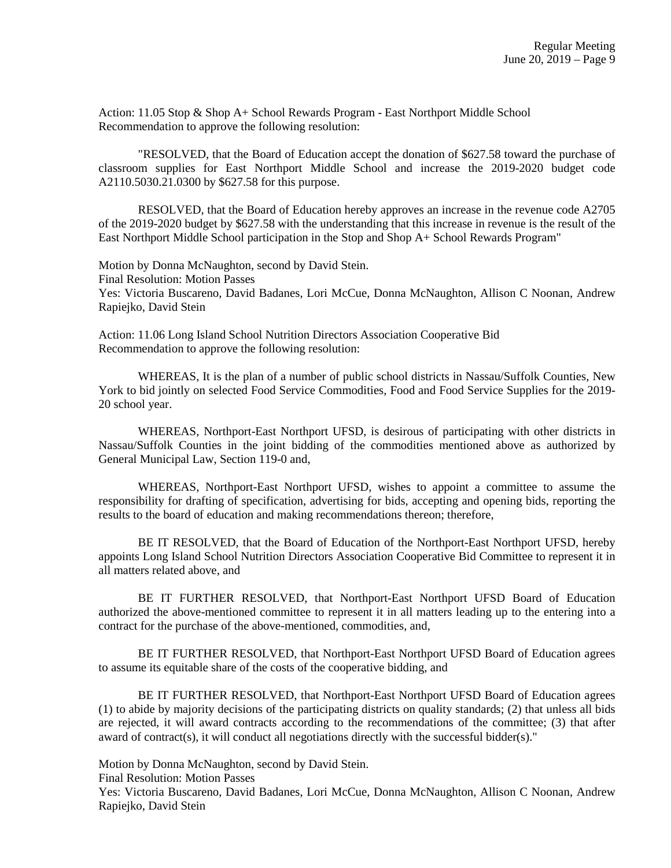Action: 11.05 Stop & Shop A+ School Rewards Program - East Northport Middle School Recommendation to approve the following resolution:

"RESOLVED, that the Board of Education accept the donation of \$627.58 toward the purchase of classroom supplies for East Northport Middle School and increase the 2019-2020 budget code A2110.5030.21.0300 by \$627.58 for this purpose.

RESOLVED, that the Board of Education hereby approves an increase in the revenue code A2705 of the 2019-2020 budget by \$627.58 with the understanding that this increase in revenue is the result of the East Northport Middle School participation in the Stop and Shop A+ School Rewards Program"

Motion by Donna McNaughton, second by David Stein. Final Resolution: Motion Passes Yes: Victoria Buscareno, David Badanes, Lori McCue, Donna McNaughton, Allison C Noonan, Andrew Rapiejko, David Stein

Action: 11.06 Long Island School Nutrition Directors Association Cooperative Bid Recommendation to approve the following resolution:

WHEREAS, It is the plan of a number of public school districts in Nassau/Suffolk Counties, New York to bid jointly on selected Food Service Commodities, Food and Food Service Supplies for the 2019- 20 school year.

WHEREAS, Northport-East Northport UFSD, is desirous of participating with other districts in Nassau/Suffolk Counties in the joint bidding of the commodities mentioned above as authorized by General Municipal Law, Section 119-0 and,

WHEREAS, Northport-East Northport UFSD, wishes to appoint a committee to assume the responsibility for drafting of specification, advertising for bids, accepting and opening bids, reporting the results to the board of education and making recommendations thereon; therefore,

BE IT RESOLVED, that the Board of Education of the Northport-East Northport UFSD, hereby appoints Long Island School Nutrition Directors Association Cooperative Bid Committee to represent it in all matters related above, and

BE IT FURTHER RESOLVED, that Northport-East Northport UFSD Board of Education authorized the above-mentioned committee to represent it in all matters leading up to the entering into a contract for the purchase of the above-mentioned, commodities, and,

BE IT FURTHER RESOLVED, that Northport-East Northport UFSD Board of Education agrees to assume its equitable share of the costs of the cooperative bidding, and

BE IT FURTHER RESOLVED, that Northport-East Northport UFSD Board of Education agrees (1) to abide by majority decisions of the participating districts on quality standards; (2) that unless all bids are rejected, it will award contracts according to the recommendations of the committee; (3) that after award of contract(s), it will conduct all negotiations directly with the successful bidder(s)."

Motion by Donna McNaughton, second by David Stein.

Final Resolution: Motion Passes

Yes: Victoria Buscareno, David Badanes, Lori McCue, Donna McNaughton, Allison C Noonan, Andrew Rapiejko, David Stein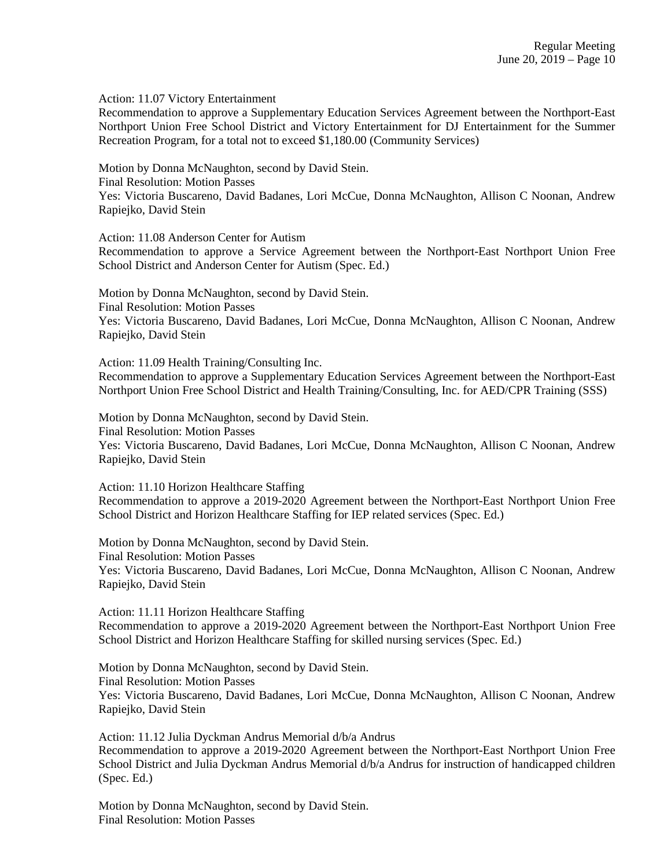Action: 11.07 Victory Entertainment

Recommendation to approve a Supplementary Education Services Agreement between the Northport-East Northport Union Free School District and Victory Entertainment for DJ Entertainment for the Summer Recreation Program, for a total not to exceed \$1,180.00 (Community Services)

Motion by Donna McNaughton, second by David Stein.

Final Resolution: Motion Passes

Yes: Victoria Buscareno, David Badanes, Lori McCue, Donna McNaughton, Allison C Noonan, Andrew Rapiejko, David Stein

Action: 11.08 Anderson Center for Autism

Recommendation to approve a Service Agreement between the Northport-East Northport Union Free School District and Anderson Center for Autism (Spec. Ed.)

Motion by Donna McNaughton, second by David Stein. Final Resolution: Motion Passes Yes: Victoria Buscareno, David Badanes, Lori McCue, Donna McNaughton, Allison C Noonan, Andrew Rapiejko, David Stein

Action: 11.09 Health Training/Consulting Inc.

Recommendation to approve a Supplementary Education Services Agreement between the Northport-East Northport Union Free School District and Health Training/Consulting, Inc. for AED/CPR Training (SSS)

Motion by Donna McNaughton, second by David Stein. Final Resolution: Motion Passes Yes: Victoria Buscareno, David Badanes, Lori McCue, Donna McNaughton, Allison C Noonan, Andrew Rapiejko, David Stein

Action: 11.10 Horizon Healthcare Staffing

Recommendation to approve a 2019-2020 Agreement between the Northport-East Northport Union Free School District and Horizon Healthcare Staffing for IEP related services (Spec. Ed.)

Motion by Donna McNaughton, second by David Stein. Final Resolution: Motion Passes Yes: Victoria Buscareno, David Badanes, Lori McCue, Donna McNaughton, Allison C Noonan, Andrew Rapiejko, David Stein

Action: 11.11 Horizon Healthcare Staffing Recommendation to approve a 2019-2020 Agreement between the Northport-East Northport Union Free School District and Horizon Healthcare Staffing for skilled nursing services (Spec. Ed.)

Motion by Donna McNaughton, second by David Stein. Final Resolution: Motion Passes Yes: Victoria Buscareno, David Badanes, Lori McCue, Donna McNaughton, Allison C Noonan, Andrew Rapiejko, David Stein

Action: 11.12 Julia Dyckman Andrus Memorial d/b/a Andrus Recommendation to approve a 2019-2020 Agreement between the Northport-East Northport Union Free School District and Julia Dyckman Andrus Memorial d/b/a Andrus for instruction of handicapped children (Spec. Ed.)

Motion by Donna McNaughton, second by David Stein. Final Resolution: Motion Passes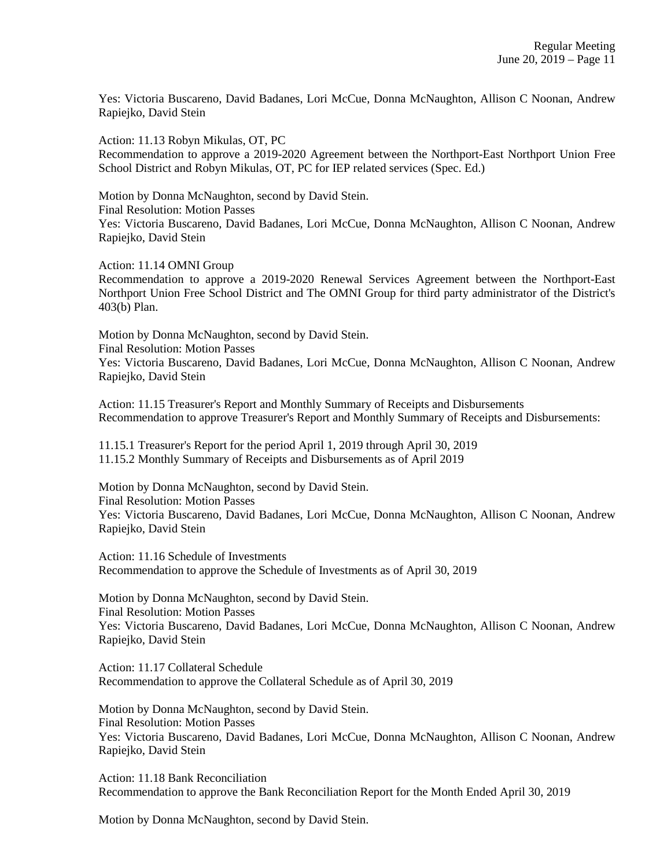Yes: Victoria Buscareno, David Badanes, Lori McCue, Donna McNaughton, Allison C Noonan, Andrew Rapiejko, David Stein

Action: 11.13 Robyn Mikulas, OT, PC Recommendation to approve a 2019-2020 Agreement between the Northport-East Northport Union Free School District and Robyn Mikulas, OT, PC for IEP related services (Spec. Ed.)

Motion by Donna McNaughton, second by David Stein. Final Resolution: Motion Passes Yes: Victoria Buscareno, David Badanes, Lori McCue, Donna McNaughton, Allison C Noonan, Andrew Rapiejko, David Stein

Action: 11.14 OMNI Group

Recommendation to approve a 2019-2020 Renewal Services Agreement between the Northport-East Northport Union Free School District and The OMNI Group for third party administrator of the District's 403(b) Plan.

Motion by Donna McNaughton, second by David Stein. Final Resolution: Motion Passes Yes: Victoria Buscareno, David Badanes, Lori McCue, Donna McNaughton, Allison C Noonan, Andrew Rapiejko, David Stein

Action: 11.15 Treasurer's Report and Monthly Summary of Receipts and Disbursements Recommendation to approve Treasurer's Report and Monthly Summary of Receipts and Disbursements:

11.15.1 Treasurer's Report for the period April 1, 2019 through April 30, 2019 11.15.2 Monthly Summary of Receipts and Disbursements as of April 2019

Motion by Donna McNaughton, second by David Stein. Final Resolution: Motion Passes Yes: Victoria Buscareno, David Badanes, Lori McCue, Donna McNaughton, Allison C Noonan, Andrew Rapiejko, David Stein

Action: 11.16 Schedule of Investments Recommendation to approve the Schedule of Investments as of April 30, 2019

Motion by Donna McNaughton, second by David Stein. Final Resolution: Motion Passes Yes: Victoria Buscareno, David Badanes, Lori McCue, Donna McNaughton, Allison C Noonan, Andrew Rapiejko, David Stein

Action: 11.17 Collateral Schedule Recommendation to approve the Collateral Schedule as of April 30, 2019

Motion by Donna McNaughton, second by David Stein. Final Resolution: Motion Passes Yes: Victoria Buscareno, David Badanes, Lori McCue, Donna McNaughton, Allison C Noonan, Andrew Rapiejko, David Stein

Action: 11.18 Bank Reconciliation Recommendation to approve the Bank Reconciliation Report for the Month Ended April 30, 2019

Motion by Donna McNaughton, second by David Stein.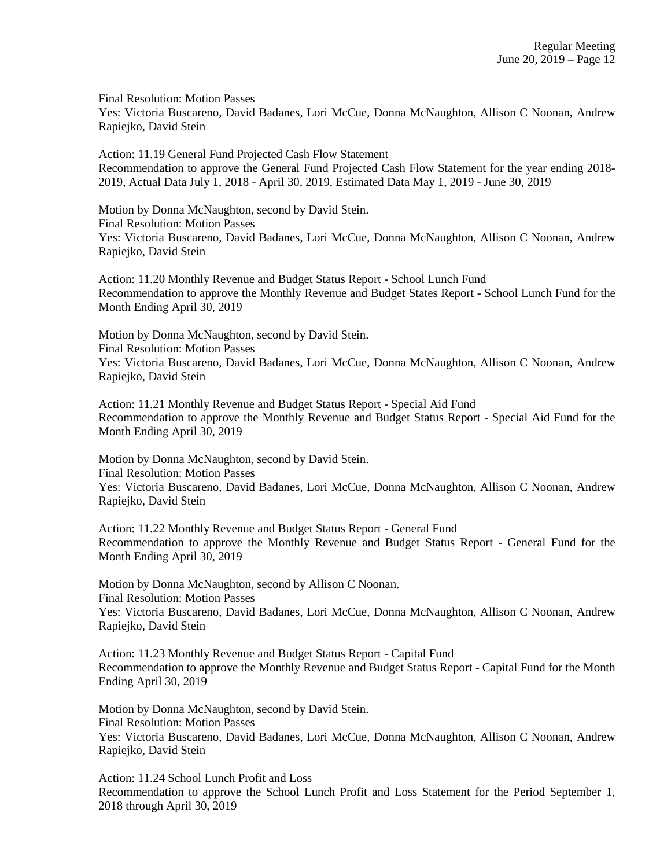Final Resolution: Motion Passes

Yes: Victoria Buscareno, David Badanes, Lori McCue, Donna McNaughton, Allison C Noonan, Andrew Rapiejko, David Stein

Action: 11.19 General Fund Projected Cash Flow Statement Recommendation to approve the General Fund Projected Cash Flow Statement for the year ending 2018- 2019, Actual Data July 1, 2018 - April 30, 2019, Estimated Data May 1, 2019 - June 30, 2019

Motion by Donna McNaughton, second by David Stein. Final Resolution: Motion Passes Yes: Victoria Buscareno, David Badanes, Lori McCue, Donna McNaughton, Allison C Noonan, Andrew Rapiejko, David Stein

Action: 11.20 Monthly Revenue and Budget Status Report - School Lunch Fund Recommendation to approve the Monthly Revenue and Budget States Report - School Lunch Fund for the Month Ending April 30, 2019

Motion by Donna McNaughton, second by David Stein. Final Resolution: Motion Passes Yes: Victoria Buscareno, David Badanes, Lori McCue, Donna McNaughton, Allison C Noonan, Andrew Rapiejko, David Stein

Action: 11.21 Monthly Revenue and Budget Status Report - Special Aid Fund Recommendation to approve the Monthly Revenue and Budget Status Report - Special Aid Fund for the Month Ending April 30, 2019

Motion by Donna McNaughton, second by David Stein. Final Resolution: Motion Passes Yes: Victoria Buscareno, David Badanes, Lori McCue, Donna McNaughton, Allison C Noonan, Andrew Rapiejko, David Stein

Action: 11.22 Monthly Revenue and Budget Status Report - General Fund Recommendation to approve the Monthly Revenue and Budget Status Report - General Fund for the Month Ending April 30, 2019

Motion by Donna McNaughton, second by Allison C Noonan. Final Resolution: Motion Passes Yes: Victoria Buscareno, David Badanes, Lori McCue, Donna McNaughton, Allison C Noonan, Andrew Rapiejko, David Stein

Action: 11.23 Monthly Revenue and Budget Status Report - Capital Fund Recommendation to approve the Monthly Revenue and Budget Status Report - Capital Fund for the Month Ending April 30, 2019

Motion by Donna McNaughton, second by David Stein. Final Resolution: Motion Passes Yes: Victoria Buscareno, David Badanes, Lori McCue, Donna McNaughton, Allison C Noonan, Andrew Rapiejko, David Stein

Action: 11.24 School Lunch Profit and Loss Recommendation to approve the School Lunch Profit and Loss Statement for the Period September 1, 2018 through April 30, 2019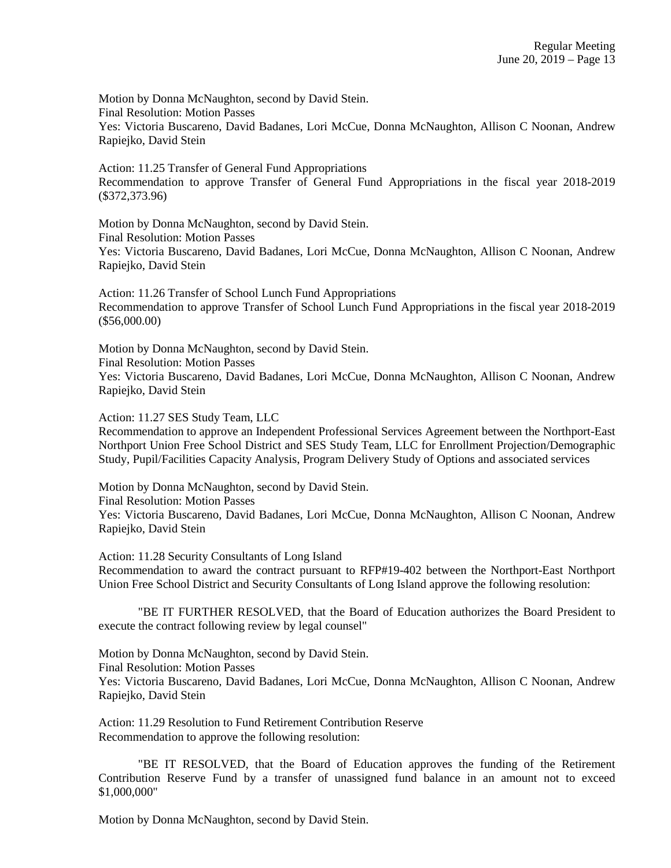Motion by Donna McNaughton, second by David Stein. Final Resolution: Motion Passes Yes: Victoria Buscareno, David Badanes, Lori McCue, Donna McNaughton, Allison C Noonan, Andrew Rapiejko, David Stein

Action: 11.25 Transfer of General Fund Appropriations Recommendation to approve Transfer of General Fund Appropriations in the fiscal year 2018-2019 (\$372,373.96)

Motion by Donna McNaughton, second by David Stein. Final Resolution: Motion Passes Yes: Victoria Buscareno, David Badanes, Lori McCue, Donna McNaughton, Allison C Noonan, Andrew Rapiejko, David Stein

Action: 11.26 Transfer of School Lunch Fund Appropriations Recommendation to approve Transfer of School Lunch Fund Appropriations in the fiscal year 2018-2019 (\$56,000.00)

Motion by Donna McNaughton, second by David Stein. Final Resolution: Motion Passes Yes: Victoria Buscareno, David Badanes, Lori McCue, Donna McNaughton, Allison C Noonan, Andrew Rapiejko, David Stein

Action: 11.27 SES Study Team, LLC

Recommendation to approve an Independent Professional Services Agreement between the Northport-East Northport Union Free School District and SES Study Team, LLC for Enrollment Projection/Demographic Study, Pupil/Facilities Capacity Analysis, Program Delivery Study of Options and associated services

Motion by Donna McNaughton, second by David Stein. Final Resolution: Motion Passes

Yes: Victoria Buscareno, David Badanes, Lori McCue, Donna McNaughton, Allison C Noonan, Andrew Rapiejko, David Stein

Action: 11.28 Security Consultants of Long Island

Recommendation to award the contract pursuant to RFP#19-402 between the Northport-East Northport Union Free School District and Security Consultants of Long Island approve the following resolution:

"BE IT FURTHER RESOLVED, that the Board of Education authorizes the Board President to execute the contract following review by legal counsel"

Motion by Donna McNaughton, second by David Stein. Final Resolution: Motion Passes Yes: Victoria Buscareno, David Badanes, Lori McCue, Donna McNaughton, Allison C Noonan, Andrew Rapiejko, David Stein

Action: 11.29 Resolution to Fund Retirement Contribution Reserve Recommendation to approve the following resolution:

"BE IT RESOLVED, that the Board of Education approves the funding of the Retirement Contribution Reserve Fund by a transfer of unassigned fund balance in an amount not to exceed \$1,000,000"

Motion by Donna McNaughton, second by David Stein.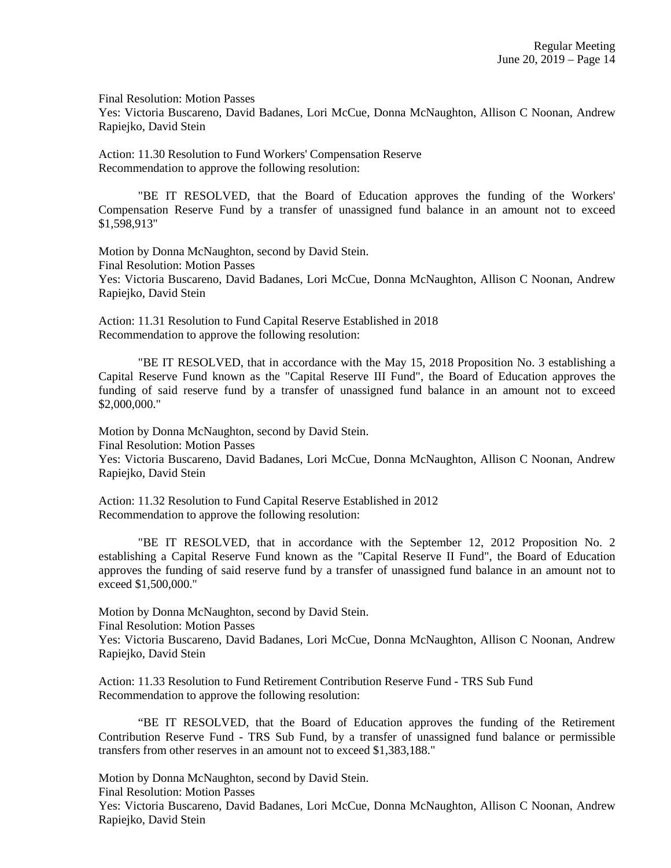Final Resolution: Motion Passes

Yes: Victoria Buscareno, David Badanes, Lori McCue, Donna McNaughton, Allison C Noonan, Andrew Rapiejko, David Stein

Action: 11.30 Resolution to Fund Workers' Compensation Reserve Recommendation to approve the following resolution:

"BE IT RESOLVED, that the Board of Education approves the funding of the Workers' Compensation Reserve Fund by a transfer of unassigned fund balance in an amount not to exceed \$1,598,913"

Motion by Donna McNaughton, second by David Stein. Final Resolution: Motion Passes Yes: Victoria Buscareno, David Badanes, Lori McCue, Donna McNaughton, Allison C Noonan, Andrew Rapiejko, David Stein

Action: 11.31 Resolution to Fund Capital Reserve Established in 2018 Recommendation to approve the following resolution:

"BE IT RESOLVED, that in accordance with the May 15, 2018 Proposition No. 3 establishing a Capital Reserve Fund known as the "Capital Reserve III Fund", the Board of Education approves the funding of said reserve fund by a transfer of unassigned fund balance in an amount not to exceed \$2,000,000."

Motion by Donna McNaughton, second by David Stein. Final Resolution: Motion Passes Yes: Victoria Buscareno, David Badanes, Lori McCue, Donna McNaughton, Allison C Noonan, Andrew Rapiejko, David Stein

Action: 11.32 Resolution to Fund Capital Reserve Established in 2012 Recommendation to approve the following resolution:

"BE IT RESOLVED, that in accordance with the September 12, 2012 Proposition No. 2 establishing a Capital Reserve Fund known as the "Capital Reserve II Fund", the Board of Education approves the funding of said reserve fund by a transfer of unassigned fund balance in an amount not to exceed \$1,500,000."

Motion by Donna McNaughton, second by David Stein.

Final Resolution: Motion Passes

Yes: Victoria Buscareno, David Badanes, Lori McCue, Donna McNaughton, Allison C Noonan, Andrew Rapiejko, David Stein

Action: 11.33 Resolution to Fund Retirement Contribution Reserve Fund - TRS Sub Fund Recommendation to approve the following resolution:

"BE IT RESOLVED, that the Board of Education approves the funding of the Retirement Contribution Reserve Fund - TRS Sub Fund, by a transfer of unassigned fund balance or permissible transfers from other reserves in an amount not to exceed \$1,383,188."

Motion by Donna McNaughton, second by David Stein.

Final Resolution: Motion Passes

Yes: Victoria Buscareno, David Badanes, Lori McCue, Donna McNaughton, Allison C Noonan, Andrew Rapiejko, David Stein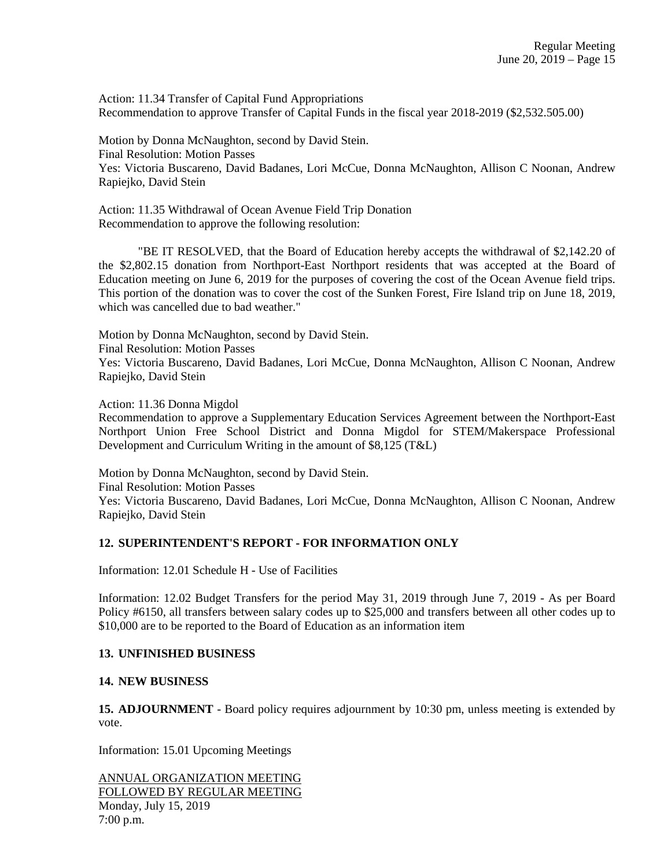Action: 11.34 Transfer of Capital Fund Appropriations Recommendation to approve Transfer of Capital Funds in the fiscal year 2018-2019 (\$2,532.505.00)

Motion by Donna McNaughton, second by David Stein. Final Resolution: Motion Passes Yes: Victoria Buscareno, David Badanes, Lori McCue, Donna McNaughton, Allison C Noonan, Andrew Rapiejko, David Stein

Action: 11.35 Withdrawal of Ocean Avenue Field Trip Donation Recommendation to approve the following resolution:

"BE IT RESOLVED, that the Board of Education hereby accepts the withdrawal of \$2,142.20 of the \$2,802.15 donation from Northport-East Northport residents that was accepted at the Board of Education meeting on June 6, 2019 for the purposes of covering the cost of the Ocean Avenue field trips. This portion of the donation was to cover the cost of the Sunken Forest, Fire Island trip on June 18, 2019, which was cancelled due to bad weather."

Motion by Donna McNaughton, second by David Stein.

Final Resolution: Motion Passes

Yes: Victoria Buscareno, David Badanes, Lori McCue, Donna McNaughton, Allison C Noonan, Andrew Rapiejko, David Stein

Action: 11.36 Donna Migdol

Recommendation to approve a Supplementary Education Services Agreement between the Northport-East Northport Union Free School District and Donna Migdol for STEM/Makerspace Professional Development and Curriculum Writing in the amount of \$8,125 (T&L)

Motion by Donna McNaughton, second by David Stein.

Final Resolution: Motion Passes

Yes: Victoria Buscareno, David Badanes, Lori McCue, Donna McNaughton, Allison C Noonan, Andrew Rapiejko, David Stein

## **12. SUPERINTENDENT'S REPORT - FOR INFORMATION ONLY**

Information: 12.01 Schedule H - Use of Facilities

Information: 12.02 Budget Transfers for the period May 31, 2019 through June 7, 2019 - As per Board Policy #6150, all transfers between salary codes up to \$25,000 and transfers between all other codes up to \$10,000 are to be reported to the Board of Education as an information item

## **13. UNFINISHED BUSINESS**

### **14. NEW BUSINESS**

**15. ADJOURNMENT** - Board policy requires adjournment by 10:30 pm, unless meeting is extended by vote.

Information: 15.01 Upcoming Meetings

ANNUAL ORGANIZATION MEETING FOLLOWED BY REGULAR MEETING Monday, July 15, 2019 7:00 p.m.